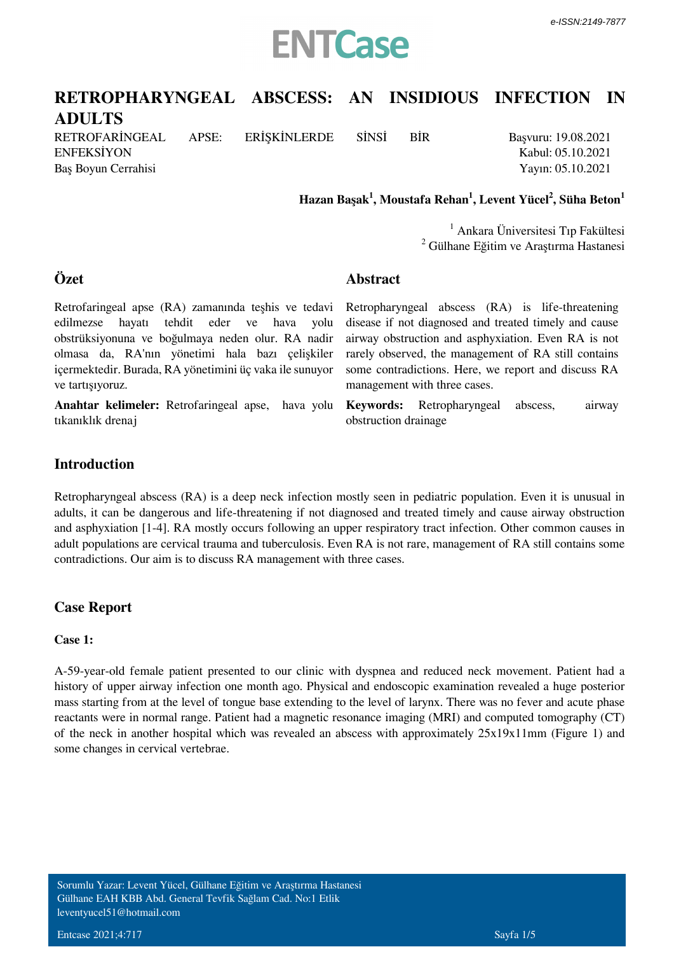

# **RETROPHARYNGEAL ABSCESS: AN INSIDIOUS INFECTION IN**

**ADULTS** RETROFARİNGEAL APSE: ERİŞKİNLERDE SİNSİ BİR ENFEKSİYON

Baş Boyun Cerrahisi

**Özet**

Başvuru: 19.08.2021 Kabul: 05.10.2021 Yayın: 05.10.2021

 **Hazan Başak<sup>1</sup> , Moustafa Rehan<sup>1</sup> , Levent Yücel<sup>2</sup> , Süha Beton<sup>1</sup>**

1 Ankara Üniversitesi Tıp Fakültesi <sup>2</sup> Gülhane Eğitim ve Araştırma Hastanesi

### **Abstract**

Retrofaringeal apse (RA) zamanında teşhis ve tedavi edilmezse hayatı tehdit eder ve hava yolu obstrüksiyonuna ve boğulmaya neden olur. RA nadir olmasa da, RA'nın yönetimi hala bazı çelişkiler içermektedir. Burada, RA yönetimini üç vaka ile sunuyor ve tartışıyoruz.

**Anahtar kelimeler:** *Retrofaringeal apse, hava yolu tıkanıklık drenaj*

Retropharyngeal abscess (RA) is life-threatening disease if not diagnosed and treated timely and cause airway obstruction and asphyxiation. Even RA is not rarely observed, the management of RA still contains some contradictions. Here, we report and discuss RA management with three cases.

**Keywords:** *Retropharyngeal abscess, airway obstruction drainage*

## **Introduction**

Retropharyngeal abscess (RA) is a deep neck infection mostly seen in pediatric population. Even it is unusual in adults, it can be dangerous and life-threatening if not diagnosed and treated timely and cause airway obstruction and asphyxiation [1-4]. RA mostly occurs following an upper respiratory tract infection. Other common causes in adult populations are cervical trauma and tuberculosis. Even RA is not rare, management of RA still contains some contradictions. Our aim is to discuss RA management with three cases.

## **Case Report**

#### **Case 1:**

A-59-year-old female patient presented to our clinic with dyspnea and reduced neck movement. Patient had a history of upper airway infection one month ago. Physical and endoscopic examination revealed a huge posterior mass starting from at the level of tongue base extending to the level of larynx. There was no fever and acute phase reactants were in normal range. Patient had a magnetic resonance imaging (MRI) and computed tomography (CT) of the neck in another hospital which was revealed an abscess with approximately 25x19x11mm (Figure 1) and some changes in cervical vertebrae.

Sorumlu Yazar: Levent Yücel, Gülhane Eğitim ve Araştırma Hastanesi Gülhane EAH KBB Abd. General Tevfik Sağlam Cad. No:1 Etlik leventyucel51@hotmail.com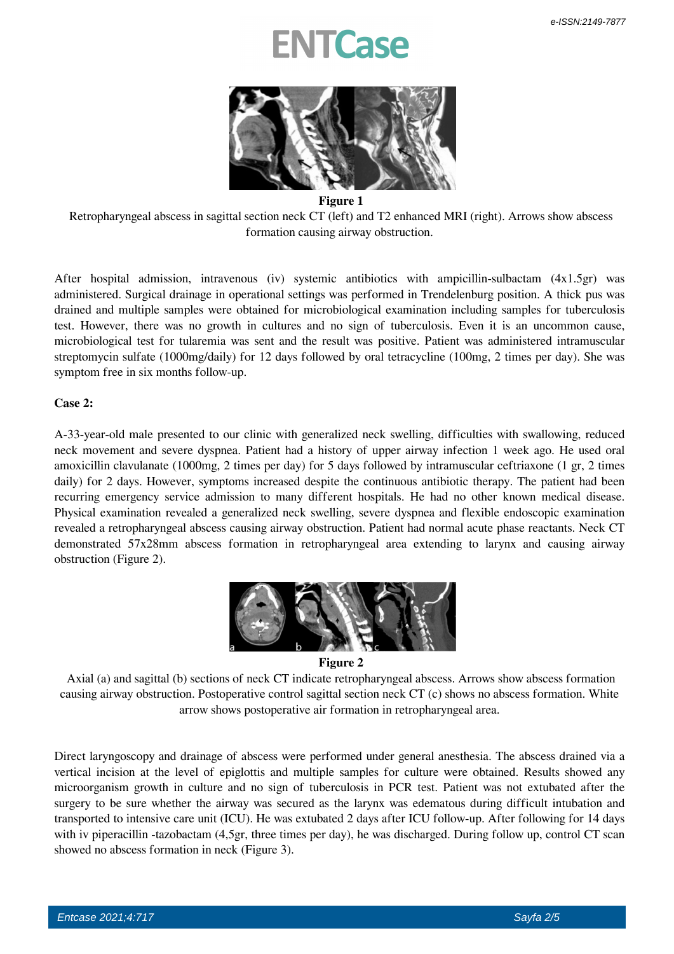# **TCase**



#### **Figure 1**

 Retropharyngeal abscess in sagittal section neck CT (left) and T2 enhanced MRI (right). Arrows show abscess formation causing airway obstruction.

After hospital admission, intravenous (iv) systemic antibiotics with ampicillin-sulbactam (4x1.5gr) was administered. Surgical drainage in operational settings was performed in Trendelenburg position. A thick pus was drained and multiple samples were obtained for microbiological examination including samples for tuberculosis test. However, there was no growth in cultures and no sign of tuberculosis. Even it is an uncommon cause, microbiological test for tularemia was sent and the result was positive. Patient was administered intramuscular streptomycin sulfate (1000mg/daily) for 12 days followed by oral tetracycline (100mg, 2 times per day). She was symptom free in six months follow-up.

#### **Case 2:**

A-33-year-old male presented to our clinic with generalized neck swelling, difficulties with swallowing, reduced neck movement and severe dyspnea. Patient had a history of upper airway infection 1 week ago. He used oral amoxicillin clavulanate (1000mg, 2 times per day) for 5 days followed by intramuscular ceftriaxone (1 gr, 2 times daily) for 2 days. However, symptoms increased despite the continuous antibiotic therapy. The patient had been recurring emergency service admission to many different hospitals. He had no other known medical disease. Physical examination revealed a generalized neck swelling, severe dyspnea and flexible endoscopic examination revealed a retropharyngeal abscess causing airway obstruction. Patient had normal acute phase reactants. Neck CT demonstrated 57x28mm abscess formation in retropharyngeal area extending to larynx and causing airway obstruction (Figure 2).



 **Figure 2**

 Axial (a) and sagittal (b) sections of neck CT indicate retropharyngeal abscess. Arrows show abscess formation causing airway obstruction. Postoperative control sagittal section neck CT (c) shows no abscess formation. White arrow shows postoperative air formation in retropharyngeal area.

Direct laryngoscopy and drainage of abscess were performed under general anesthesia. The abscess drained via a vertical incision at the level of epiglottis and multiple samples for culture were obtained. Results showed any microorganism growth in culture and no sign of tuberculosis in PCR test. Patient was not extubated after the surgery to be sure whether the airway was secured as the larynx was edematous during difficult intubation and transported to intensive care unit (ICU). He was extubated 2 days after ICU follow-up. After following for 14 days with iv piperacillin -tazobactam (4,5gr, three times per day), he was discharged. During follow up, control CT scan showed no abscess formation in neck (Figure 3).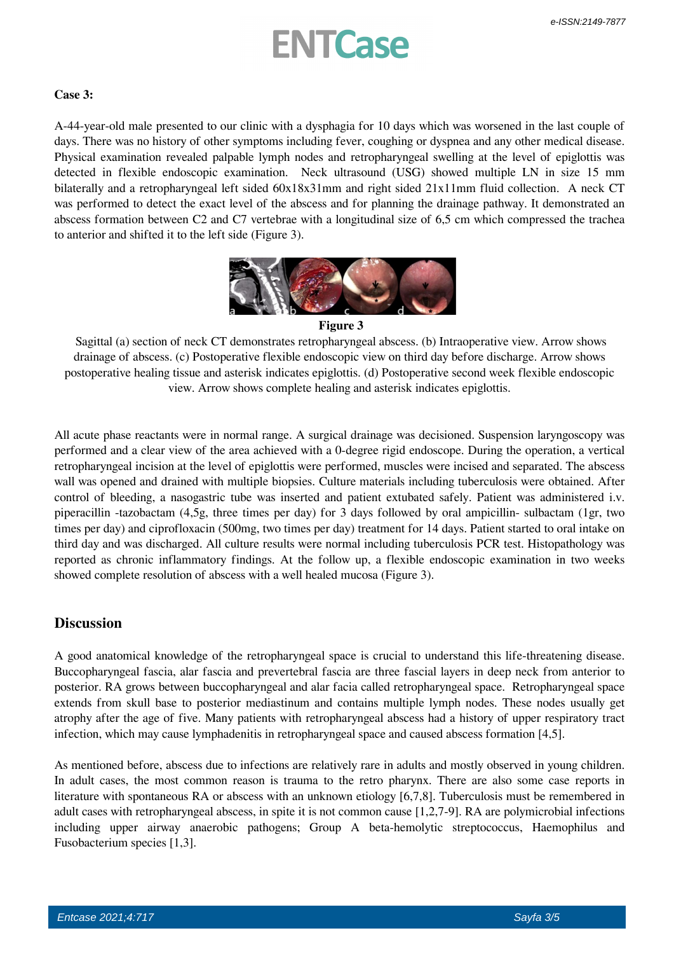# **ENTCase**

#### **Case 3:**

A-44-year-old male presented to our clinic with a dysphagia for 10 days which was worsened in the last couple of days. There was no history of other symptoms including fever, coughing or dyspnea and any other medical disease. Physical examination revealed palpable lymph nodes and retropharyngeal swelling at the level of epiglottis was detected in flexible endoscopic examination. Neck ultrasound (USG) showed multiple LN in size 15 mm bilaterally and a retropharyngeal left sided 60x18x31mm and right sided 21x11mm fluid collection. A neck CT was performed to detect the exact level of the abscess and for planning the drainage pathway. It demonstrated an abscess formation between C2 and C7 vertebrae with a longitudinal size of 6,5 cm which compressed the trachea to anterior and shifted it to the left side (Figure 3).



#### **Figure 3**

 Sagittal (a) section of neck CT demonstrates retropharyngeal abscess. (b) Intraoperative view. Arrow shows drainage of abscess. (c) Postoperative flexible endoscopic view on third day before discharge. Arrow shows postoperative healing tissue and asterisk indicates epiglottis. (d) Postoperative second week flexible endoscopic view. Arrow shows complete healing and asterisk indicates epiglottis.

All acute phase reactants were in normal range. A surgical drainage was decisioned. Suspension laryngoscopy was performed and a clear view of the area achieved with a 0-degree rigid endoscope. During the operation, a vertical retropharyngeal incision at the level of epiglottis were performed, muscles were incised and separated. The abscess wall was opened and drained with multiple biopsies. Culture materials including tuberculosis were obtained. After control of bleeding, a nasogastric tube was inserted and patient extubated safely. Patient was administered i.v. piperacillin -tazobactam (4,5g, three times per day) for 3 days followed by oral ampicillin- sulbactam (1gr, two times per day) and ciprofloxacin (500mg, two times per day) treatment for 14 days. Patient started to oral intake on third day and was discharged. All culture results were normal including tuberculosis PCR test. Histopathology was reported as chronic inflammatory findings. At the follow up, a flexible endoscopic examination in two weeks showed complete resolution of abscess with a well healed mucosa (Figure 3).

### **Discussion**

A good anatomical knowledge of the retropharyngeal space is crucial to understand this life-threatening disease. Buccopharyngeal fascia, alar fascia and prevertebral fascia are three fascial layers in deep neck from anterior to posterior. RA grows between buccopharyngeal and alar facia called retropharyngeal space. Retropharyngeal space extends from skull base to posterior mediastinum and contains multiple lymph nodes. These nodes usually get atrophy after the age of five. Many patients with retropharyngeal abscess had a history of upper respiratory tract infection, which may cause lymphadenitis in retropharyngeal space and caused abscess formation [4,5].

As mentioned before, abscess due to infections are relatively rare in adults and mostly observed in young children. In adult cases, the most common reason is trauma to the retro pharynx. There are also some case reports in literature with spontaneous RA or abscess with an unknown etiology [6,7,8]. Tuberculosis must be remembered in adult cases with retropharyngeal abscess, in spite it is not common cause [1,2,7-9]. RA are polymicrobial infections including upper airway anaerobic pathogens; Group A beta-hemolytic *streptococcus, Haemophilus* and *Fusobacterium* species [1,3].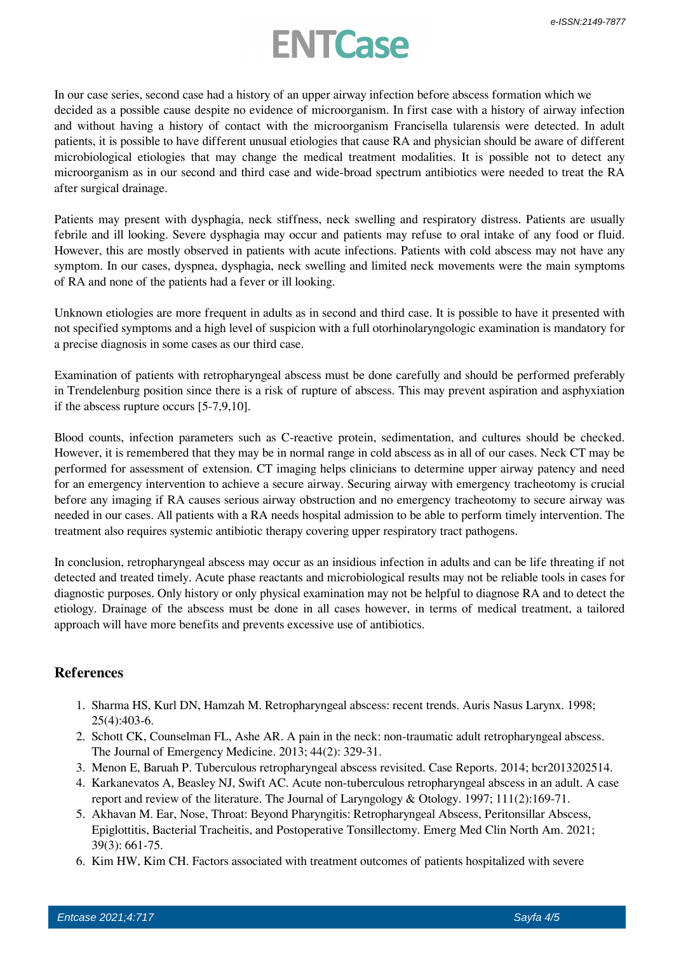# **ENTCase**

In our case series, second case had a history of an upper airway infection before abscess formation which we decided as a possible cause despite no evidence of microorganism. In first case with a history of airway infection and without having a history of contact with the microorganism *Francisella tularensis* were detected. In adult patients, it is possible to have different unusual etiologies that cause RA and physician should be aware of different microbiological etiologies that may change the medical treatment modalities. It is possible not to detect any microorganism as in our second and third case and wide-broad spectrum antibiotics were needed to treat the RA after surgical drainage.

Patients may present with dysphagia, neck stiffness, neck swelling and respiratory distress. Patients are usually febrile and ill looking. Severe dysphagia may occur and patients may refuse to oral intake of any food or fluid. However, this are mostly observed in patients with acute infections. Patients with cold abscess may not have any symptom. In our cases, dyspnea, dysphagia, neck swelling and limited neck movements were the main symptoms of RA and none of the patients had a fever or ill looking.

Unknown etiologies are more frequent in adults as in second and third case. It is possible to have it presented with not specified symptoms and a high level of suspicion with a full otorhinolaryngologic examination is mandatory for a precise diagnosis in some cases as our third case.

Examination of patients with retropharyngeal abscess must be done carefully and should be performed preferably in Trendelenburg position since there is a risk of rupture of abscess. This may prevent aspiration and asphyxiation if the abscess rupture occurs [5-7,9,10].

Blood counts, infection parameters such as C-reactive protein, sedimentation, and cultures should be checked. However, it is remembered that they may be in normal range in cold abscess as in all of our cases. Neck CT may be performed for assessment of extension. CT imaging helps clinicians to determine upper airway patency and need for an emergency intervention to achieve a secure airway. Securing airway with emergency tracheotomy is crucial before any imaging if RA causes serious airway obstruction and no emergency tracheotomy to secure airway was needed in our cases. All patients with a RA needs hospital admission to be able to perform timely intervention. The treatment also requires systemic antibiotic therapy covering upper respiratory tract pathogens.

In conclusion, retropharyngeal abscess may occur as an insidious infection in adults and can be life threating if not detected and treated timely. Acute phase reactants and microbiological results may not be reliable tools in cases for diagnostic purposes. Only history or only physical examination may not be helpful to diagnose RA and to detect the etiology. Drainage of the abscess must be done in all cases however, in terms of medical treatment, a tailored approach will have more benefits and prevents excessive use of antibiotics.

# **References**

- 1. Sharma HS, Kurl DN, Hamzah M. Retropharyngeal abscess: recent trends. Auris Nasus Larynx. 1998; 25(4):403-6.
- 2. Schott CK, Counselman FL, Ashe AR. A pain in the neck: non-traumatic adult retropharyngeal abscess. The Journal of Emergency Medicine. 2013; 44(2): 329-31.
- 3. Menon E, Baruah P. Tuberculous retropharyngeal abscess revisited. Case Reports. 2014; bcr2013202514.
- 4. Karkanevatos A, Beasley NJ, Swift AC. Acute non-tuberculous retropharyngeal abscess in an adult. A case report and review of the literature. The Journal of Laryngology & Otology. 1997; 111(2):169-71.
- 5. Akhavan M. Ear, Nose, Throat: Beyond Pharyngitis: Retropharyngeal Abscess, Peritonsillar Abscess, Epiglottitis, Bacterial Tracheitis, and Postoperative Tonsillectomy. Emerg Med Clin North Am. 2021; 39(3): 661-75.
- 6. Kim HW, Kim CH. Factors associated with treatment outcomes of patients hospitalized with severe